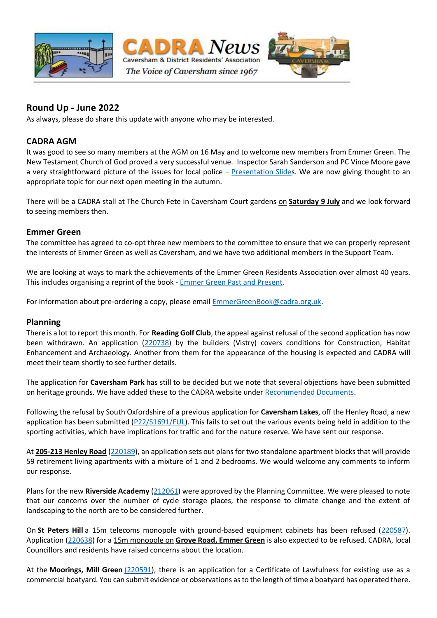

## **Round Up - June 2022**

As always, please do share this update with anyone who may be interested.

### **CADRA AGM**

It was good to see so many members at the AGM on 16 May and to welcome new members from Emmer Green. The New Testament Church of God proved a very successful venue. Inspector Sarah Sanderson and PC Vince Moore gave a very straightforward picture of the issues for local police - [Presentation Slides](https://nam12.safelinks.protection.outlook.com/?url=https%3A%2F%2Fwww.cadra.org.uk%2Fen%2FEvents%23block678&data=05%7C01%7C%7Cc621afc4c5f54f2a75c008da51c3850f%7C84df9e7fe9f640afb435aaaaaaaaaaaa%7C1%7C0%7C637912197431540789%7CUnknown%7CTWFpbGZsb3d8eyJWIjoiMC4wLjAwMDAiLCJQIjoiV2luMzIiLCJBTiI6Ik1haWwiLCJXVCI6Mn0%3D%7C3000%7C%7C%7C&sdata=NE4McS0AgWEh%2FcrLnuinqJruTaRP%2FWQwTYt24muVuIo%3D&reserved=0). We are now giving thought to an appropriate topic for our next open meeting in the autumn.

There will be a CADRA stall at The Church Fete in Caversham Court gardens on **Saturday 9 July** and we look forward to seeing members then.

#### **Emmer Green**

The committee has agreed to co-opt three new members to the committee to ensure that we can properly represent the interests of Emmer Green as well as Caversham, and we have two additional members in the Support Team.

We are looking at ways to mark the achievements of the Emmer Green Residents Association over almost 40 years. This includes organising a reprint of the book - [Emmer Green Past and Present](https://nam12.safelinks.protection.outlook.com/?url=http%3A%2F%2Fwww.map-reading.co.uk%2Fegra%2FHTML%2520files%2FEGRA%2520Emmer%2520Green%2520book.htm&data=05%7C01%7C%7Cc621afc4c5f54f2a75c008da51c3850f%7C84df9e7fe9f640afb435aaaaaaaaaaaa%7C1%7C0%7C637912197431540789%7CUnknown%7CTWFpbGZsb3d8eyJWIjoiMC4wLjAwMDAiLCJQIjoiV2luMzIiLCJBTiI6Ik1haWwiLCJXVCI6Mn0%3D%7C3000%7C%7C%7C&sdata=T2DraKPqi3reqUQ6SM8tCN0xYy5X2oA9B7tabvpu%2FFA%3D&reserved=0)*.*

For information about pre-ordering a copy, please email [EmmerGreenBook@cadra.org.uk.](mailto:EmmerGreenBook@cadra.org.uk)

#### **Planning**

There is a lot to report this month. For **Reading Golf Club**, the appeal against refusal of the second application has now been withdrawn. An application [\(220738\)](https://nam12.safelinks.protection.outlook.com/?url=http%3A%2F%2Fplanning.reading.gov.uk%2Ffastweb_PL%2Fdetail.asp%3FAltRef%3D220738%26ApplicationNumber%3D220738%2B%26AddressPrefix%3D%26Postcode%3D%26Submit%3DSearch&data=05%7C01%7C%7Cc621afc4c5f54f2a75c008da51c3850f%7C84df9e7fe9f640afb435aaaaaaaaaaaa%7C1%7C0%7C637912197431540789%7CUnknown%7CTWFpbGZsb3d8eyJWIjoiMC4wLjAwMDAiLCJQIjoiV2luMzIiLCJBTiI6Ik1haWwiLCJXVCI6Mn0%3D%7C3000%7C%7C%7C&sdata=hs0DAT6XL2n%2FT0x0V0nQIbe9w8vLUoQlogx%2BYnJG47U%3D&reserved=0) by the builders (Vistry) covers conditions for Construction, Habitat Enhancement and Archaeology. Another from them for the appearance of the housing is expected and CADRA will meet their team shortly to see further details.

The application for **Caversham Park** has still to be decided but we note that several objections have been submitted on heritage grounds. We have added these to the CADRA website under [Recommended Documents.](https://nam12.safelinks.protection.outlook.com/?url=https%3A%2F%2Fwww.cadra.org.uk%2Fen%2FPlanning%23block663&data=05%7C01%7C%7Cc621afc4c5f54f2a75c008da51c3850f%7C84df9e7fe9f640afb435aaaaaaaaaaaa%7C1%7C0%7C637912197431540789%7CUnknown%7CTWFpbGZsb3d8eyJWIjoiMC4wLjAwMDAiLCJQIjoiV2luMzIiLCJBTiI6Ik1haWwiLCJXVCI6Mn0%3D%7C3000%7C%7C%7C&sdata=CPJuN71RVCK27wUScsk4ueQMc%2FK4%2FnHxlbDeJBLok18%3D&reserved=0)

Following the refusal by South Oxfordshire of a previous application for **Caversham Lakes**, off the Henley Road, a new application has been submitted [\(P22/S1691/FUL\)](https://nam12.safelinks.protection.outlook.com/?url=https%3A%2F%2Fdata.southoxon.gov.uk%2Fccm%2Fsupport%2FMain.jsp%3FMODULE%3DApplicationDetails%26REF%3DP22%2FS1691%2FFUL%23exactline&data=05%7C01%7C%7Cc621afc4c5f54f2a75c008da51c3850f%7C84df9e7fe9f640afb435aaaaaaaaaaaa%7C1%7C0%7C637912197431540789%7CUnknown%7CTWFpbGZsb3d8eyJWIjoiMC4wLjAwMDAiLCJQIjoiV2luMzIiLCJBTiI6Ik1haWwiLCJXVCI6Mn0%3D%7C3000%7C%7C%7C&sdata=ZwFxxfTD2zJAz05Kc84RVopG7j7ARXlCTJLG2k5F9v0%3D&reserved=0). This fails to set out the various events being held in addition to the sporting activities, which have implications for traffic and for the nature reserve. We have sent our response.

At **205-213 Henley Road** [\(220189\)](https://nam12.safelinks.protection.outlook.com/?url=http%3A%2F%2Fplanning.reading.gov.uk%2Ffastweb_PL%2Fdetail.asp%3FAltRef%3D220189%26ApplicationNumber%3D220189%2B%26AddressPrefix%3D%26Postcode%3D%26Submit%3DSearch&data=05%7C01%7C%7Cc621afc4c5f54f2a75c008da51c3850f%7C84df9e7fe9f640afb435aaaaaaaaaaaa%7C1%7C0%7C637912197431540789%7CUnknown%7CTWFpbGZsb3d8eyJWIjoiMC4wLjAwMDAiLCJQIjoiV2luMzIiLCJBTiI6Ik1haWwiLCJXVCI6Mn0%3D%7C3000%7C%7C%7C&sdata=4uMZyIOS4hLUOolshTbZjn36KUyHlf0VG4jWqoyE%2FJA%3D&reserved=0), an application sets out plans for two standalone apartment blocks that will provide 59 retirement living apartments with a mixture of 1 and 2 bedrooms. We would welcome any comments to inform our response.

Plans for the new **Riverside Academy** [\(212061\)](https://nam12.safelinks.protection.outlook.com/?url=http%3A%2F%2Fplanning.reading.gov.uk%2Ffastweb_PL%2Fdetail.asp%3FAltRef%3D212061%26ApplicationNumber%3D212061%2B%26AddressPrefix%3D%26Postcode%3D%26Submit%3DSearch&data=05%7C01%7C%7Cc621afc4c5f54f2a75c008da51c3850f%7C84df9e7fe9f640afb435aaaaaaaaaaaa%7C1%7C0%7C637912197431540789%7CUnknown%7CTWFpbGZsb3d8eyJWIjoiMC4wLjAwMDAiLCJQIjoiV2luMzIiLCJBTiI6Ik1haWwiLCJXVCI6Mn0%3D%7C3000%7C%7C%7C&sdata=bzMpk3NbLAem6aTJaoCR2Bv993EVTSp0v3k1x54dVYs%3D&reserved=0) were approved by the Planning Committee. We were pleased to note that our concerns over the number of cycle storage places, the response to climate change and the extent of landscaping to the north are to be considered further.

On **St Peters Hill** a 15m telecoms monopole with ground-based equipment cabinets has been refused [\(220587\)](https://nam12.safelinks.protection.outlook.com/?url=http%3A%2F%2Fplanning.reading.gov.uk%2Ffastweb_PL%2Fdetail.asp%3FAltRef%3D220587%26ApplicationNumber%3D220587%2B%26AddressPrefix%3D%26Postcode%3D%26Submit%3DSearch&data=05%7C01%7C%7Cc621afc4c5f54f2a75c008da51c3850f%7C84df9e7fe9f640afb435aaaaaaaaaaaa%7C1%7C0%7C637912197431540789%7CUnknown%7CTWFpbGZsb3d8eyJWIjoiMC4wLjAwMDAiLCJQIjoiV2luMzIiLCJBTiI6Ik1haWwiLCJXVCI6Mn0%3D%7C3000%7C%7C%7C&sdata=KOfH6L4oZARna68uA%2B%2FltAh9RLGbP550DwiEibcTVy8%3D&reserved=0). Application [\(220638\)](https://nam12.safelinks.protection.outlook.com/?url=http%3A%2F%2Fplanning.reading.gov.uk%2Ffastweb_PL%2Fdetail.asp%3FAltRef%3D220638%26ApplicationNumber%3D220638%2B%26AddressPrefix%3D%26Postcode%3D%26Submit%3DSearch&data=05%7C01%7C%7Cc621afc4c5f54f2a75c008da51c3850f%7C84df9e7fe9f640afb435aaaaaaaaaaaa%7C1%7C0%7C637912197431540789%7CUnknown%7CTWFpbGZsb3d8eyJWIjoiMC4wLjAwMDAiLCJQIjoiV2luMzIiLCJBTiI6Ik1haWwiLCJXVCI6Mn0%3D%7C3000%7C%7C%7C&sdata=FCbCYZMgAnMva1keLsfVFZBYLctxg3TQW%2FkQuyqzqU4%3D&reserved=0) for a 15m monopole on **Grove Road, Emmer Green** is also expected to be refused. CADRA, local Councillors and residents have raised concerns about the location.

At the **Moorings, Mill Green** [\(220591\)](https://nam12.safelinks.protection.outlook.com/?url=http%3A%2F%2Fplanning.reading.gov.uk%2Ffastweb_PL%2Fdetail.asp%3FAltRef%3D220591%26ApplicationNumber%3D220591%2B%26AddressPrefix%3D%26Postcode%3D%26Submit%3DSearch&data=05%7C01%7C%7Cc621afc4c5f54f2a75c008da51c3850f%7C84df9e7fe9f640afb435aaaaaaaaaaaa%7C1%7C0%7C637912197431540789%7CUnknown%7CTWFpbGZsb3d8eyJWIjoiMC4wLjAwMDAiLCJQIjoiV2luMzIiLCJBTiI6Ik1haWwiLCJXVCI6Mn0%3D%7C3000%7C%7C%7C&sdata=k7Ps3ZfxXz7vznfAPvCMwOm2wwtSbfqhuiLsOnYAv8U%3D&reserved=0), there is an application for a Certificate of Lawfulness for existing use as a commercial boatyard. You can submit evidence or observations as to the length of time a boatyard has operated there.